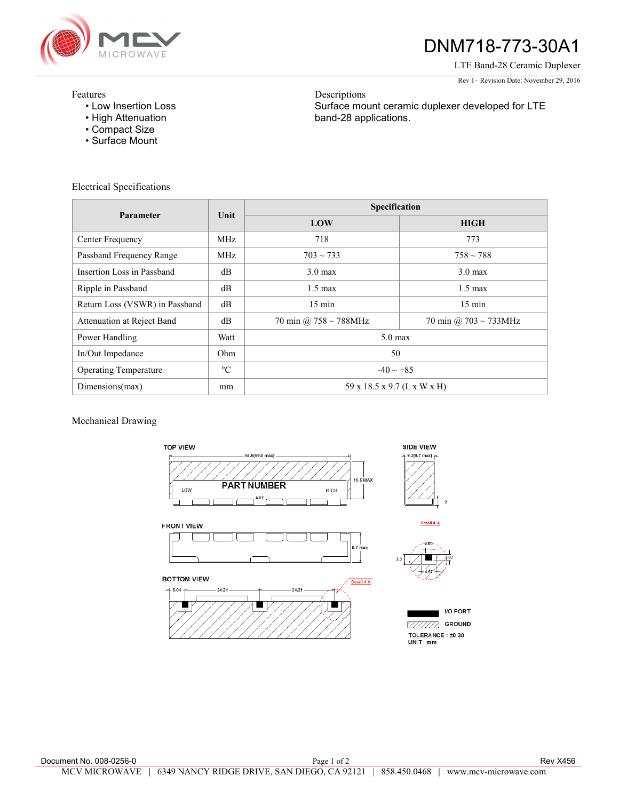

# DNM718-773-30A1

LTE Band-28 Ceramic Duplexer Rev 1– Revision Date: November 29, 2016

### Features

- Low Insertion Loss
- High Attenuation
- Compact Size
- Surface Mount

Electrical Specifications

Descriptions Surface mount ceramic duplexer developed for LTE band-28 applications.

| Parameter                      | Unit        | Specification               |                       |
|--------------------------------|-------------|-----------------------------|-----------------------|
|                                |             | LOW                         | <b>HIGH</b>           |
| Center Frequency               | MHz         | 718                         | 773                   |
| Passband Frequency Range       | MHz         | $703 \sim 733$              | $758 \sim 788$        |
| Insertion Loss in Passband     | dB          | $3.0 \text{ max}$           | $3.0 \text{ max}$     |
| Ripple in Passband             | dB          | $1.5 \text{ max}$           | $1.5 \text{ max}$     |
| Return Loss (VSWR) in Passband | dB          | $15 \text{ min}$            | $15 \text{ min}$      |
| Attenuation at Reject Band     | dВ          | 70 min @ 758 ~ 788MHz       | 70 min @ 703 ~ 733MHz |
| Power Handling                 | Watt        | $5.0$ max                   |                       |
| In/Out Impedance               | Ohm         | 50                          |                       |
| <b>Operating Temperature</b>   | $^{\circ}C$ | $-40 \sim +85$              |                       |
| Dimensions(max)                | mm          | 59 x 18.5 x 9.7 (L x W x H) |                       |

## Mechanical Drawing